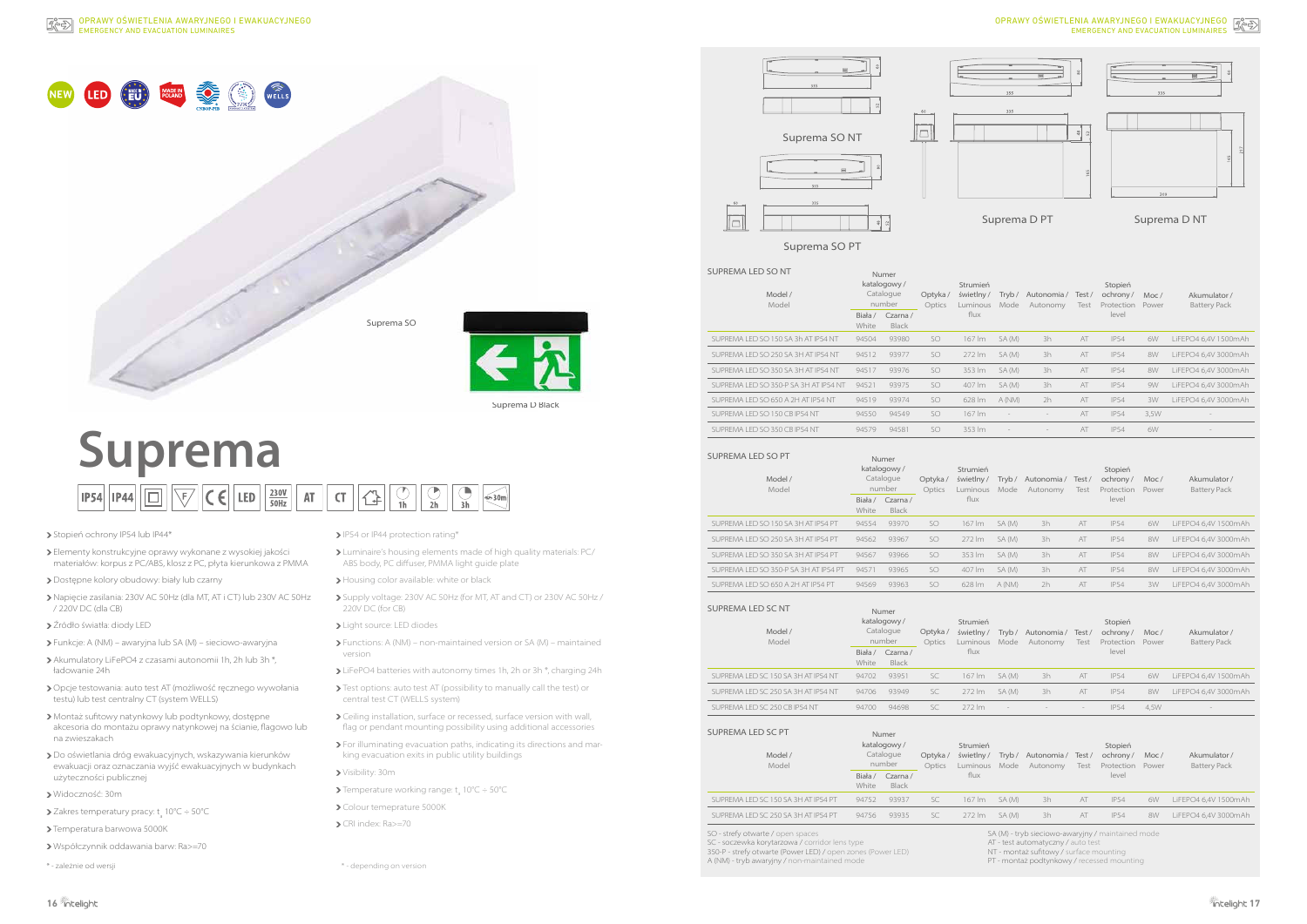## **Suprema**  $\begin{array}{|c|c|c|c|c|}\hline \text{CT} & \text{CT} & \text{CT} & \text{OT} & \text{OT} \\ \hline \text{1h} & \text{2h} & \text{3h} & \text{3h} \\ \hline \end{array}$  $|\mathsf{CE}|$  LED  $\frac{230\mathsf{V}}{50\mathsf{Hz}}$ 同  $\overline{\mathbb{V}}$  $\overline{AT}$ **IP54 IP44**

## > Stopień ochrony IP54 lub IP44\*

- Elementy konstrukcyjne oprawy wykonane z wysokiej jakości materiałów: korpus z PC/ABS, klosz z PC, płyta kierunkowa z PMMA
- Dostępne kolory obudowy: biały lub czarny
- Napięcie zasilania: 230V AC 50Hz (dla MT, AT i CT) lub 230V AC 50Hz / 220V DC (dla CB)
- Źródło światła: diody LED
- Funkcje: A (NM) awaryjna lub SA (M) sieciowo-awaryjna
- Akumulatory LiFePO4 z czasami autonomii 1h, 2h lub 3h \*, ładowanie 24h
- Opcje testowania: auto test AT (możliwość ręcznego wywołania testu) lub test centralny CT (system WELLS)
- Montaż sufitowy natynkowy lub podtynkowy, dostępne akcesoria do montażu oprawy natynkowej na ścianie, flagowo lub na zwieszakach
- Do oświetlania dróg ewakuacyjnych, wskazywania kierunków ewakuacji oraz oznaczania wyjść ewakuacyjnych w budynkach użyteczności publicznej
- Widoczność: 30m
- Zakres temperatury pracy: t<sub>a</sub> 10°C ÷ 50°C
- > Temperatura barwowa 5000K
- Współczynnik oddawania barw: Ra>=70
- 
- IP54 or IP44 protection rating\*
- Luminaire's housing elements made of high quality materials: PC/ ABS body, PC diffuser, PMMA light guide plate
- > Housing color available: white or black
- Supply voltage: 230V AC 50Hz (for MT, AT and CT) or 230V AC 50Hz / 220V DC (for CB)
- > Light source: LED diodes
- Functions: A (NM) non-maintained version or SA (M) maintained version
- LiFePO4 batteries with autonomy times 1h, 2h or 3h \*, charging 24h
- Test options: auto test AT (possibility to manually call the test) or central test CT (WELLS system)
- Ceiling installation, surface or recessed, surface version with wall, flag or pendant mounting possibility using additional accessories
- For illuminating evacuation paths, indicating its directions and marking evacuation exits in public utility buildings
- Visibility: 30m
- Temperature working range:  $t_{\text{a}}$  10°C  $\div$  50°C
- > Colour temeprature 5000K
- CRI index: Ra>=70



Suprema D Black



Suprema SO PT

# EMERGENCY AND EVACUATION LUMINAIRES OPRAWY OŚWIETLENIA AWARYJNEGO I EWAKUACYJNEGO Z



Suprema D PT Suprema D NT

| UPREMA LED SO NT<br>Model /<br>Model                                              | Numer<br>katalogowy/<br>Catalogue<br>number |                                             | Optyka/<br>Optics | Strumień<br>świetlny/<br>Luminous | Mode                     | Tryb/ Autonomia/ Test/<br>Autonomy                                                      | Test                     | Stopień<br>ochrony/<br>Protection       | Moc/<br>Power | Akumulator /<br><b>Battery Pack</b> |
|-----------------------------------------------------------------------------------|---------------------------------------------|---------------------------------------------|-------------------|-----------------------------------|--------------------------|-----------------------------------------------------------------------------------------|--------------------------|-----------------------------------------|---------------|-------------------------------------|
|                                                                                   | Biała /<br>White                            | Czarna /<br><b>Black</b>                    |                   | flux                              |                          |                                                                                         |                          | level                                   |               |                                     |
| SUPREMA LED SO 150 SA 3h AT IP54 NT                                               | 94504                                       | 93980                                       | <b>SO</b>         | 167 lm                            | SA (M)                   | 3h                                                                                      | AT                       | <b>IP54</b>                             | 6W            | LiFEPO4 6,4V 1500mAh                |
| SUPREMA LED SO 250 SA 3H AT IP54 NT                                               | 94512                                       | 93977                                       | <b>SO</b>         | 272 lm                            | SA (M)                   | 3h                                                                                      | AT                       | <b>IP54</b>                             | 8W            | LiFEPO4 6,4V 3000mAh                |
| SUPREMA LED SO 350 SA 3H AT IP54 NT                                               | 94517                                       | 93976                                       | SO                | 353 lm                            | SA (M)                   | 3h                                                                                      | AT                       | <b>IP54</b>                             | 8W            | LiFEPO4 6,4V 3000mAh                |
| SUPREMA LED SO 350-P SA 3H AT IP54 NT                                             | 94521                                       | 93975                                       | SO                | 407 lm                            | SA (M)                   | 3h                                                                                      | AT                       | <b>IP54</b>                             | 9W            | LiFEPO4 6,4V 3000mAh                |
| SUPREMA LED SO 650 A 2H AT IP54 NT                                                | 94519                                       | 93974                                       | <b>SO</b>         | 628 lm                            | A (NM)                   | 2h                                                                                      | AT                       | <b>IP54</b>                             | 3W            | LiFEPO4 6,4V 3000mAh                |
| SUPREMA LED SO 150 CB IP54 NT                                                     | 94550                                       | 94549                                       | SO.               | 167 lm                            | $\overline{\phantom{a}}$ | $\overline{\phantom{a}}$                                                                | AT                       | <b>IP54</b>                             | 3,5W          |                                     |
| SUPREMA LED SO 350 CB IP54 NT                                                     | 94579                                       | 94581                                       | <b>SO</b>         | 353 lm                            |                          | $\overline{\phantom{a}}$                                                                | AT                       | <b>IP54</b>                             | 6W            |                                     |
| UPREMA LED SO PT<br>Model /<br>Model                                              | Numer<br>katalogowy/<br>Catalogue<br>number |                                             | Optyka/<br>Optics | Strumień<br>świetlny/<br>Luminous | Mode                     | Tryb / Autonomia /<br>Autonomy                                                          | Test/<br>Test            | Stopień<br>ochrony/<br>Protection       | Moc/<br>Power | Akumulator /<br><b>Battery Pack</b> |
|                                                                                   | White                                       | Biała / Czarna /<br><b>Black</b>            |                   | flux                              |                          |                                                                                         |                          | level                                   |               |                                     |
| SUPREMA LED SO 150 SA 3H AT IP54 PT                                               | 94554                                       | 93970                                       | SO                | 167 lm                            | SA (M)                   | 3h                                                                                      | AT                       | <b>IP54</b>                             | 6W            | LiFEPO4 6,4V 1500mAh                |
| SUPREMA LED SO 250 SA 3H AT IP54 PT                                               | 94562                                       | 93967                                       | SO                | 272 lm                            | SA (M)                   | 3h                                                                                      | AT                       | <b>IP54</b>                             | 8W            | LiFEPO4 6,4V 3000mAh                |
| SUPREMA LED SO 350 SA 3H AT IP54 PT                                               | 94567                                       | 93966                                       | SO                | 353 lm                            | SA (M)                   | 3h                                                                                      | AT                       | <b>IP54</b>                             | 8W            | LiFEPO4 6,4V 3000mAh                |
| SUPREMA LED SO 350-P SA 3H AT IP54 PT                                             | 94571                                       | 93965                                       | SO                | 407 lm                            | SA (M)                   | 3h                                                                                      | AT                       | <b>IP54</b>                             | 8W            | LiFEPO4 6,4V 3000mAh                |
| SUPREMA LED SO 650 A 2H AT IP54 PT                                                | 94569                                       | 93963                                       | <b>SO</b>         | 628 lm                            | A (NM)                   | 2h                                                                                      | AT                       | <b>IP54</b>                             | 3W            | LiFEPO4 6,4V 3000mAh                |
| UPREMA LED SC NT<br>Model /<br>Model                                              | Numer<br>katalogowy/<br>Catalogue<br>number |                                             | Optyka/<br>Optics | Strumień<br>świetlny/<br>Luminous | Mode                     | Tryb/ Autonomia/ Test/<br>Autonomy                                                      | Test                     | Stopień<br>ochrony/<br>Protection       | Moc/<br>Power | Akumulator /<br><b>Battery Pack</b> |
|                                                                                   | Biała /<br>White                            | Czarna/<br><b>Black</b>                     |                   | flux                              |                          |                                                                                         |                          | level                                   |               |                                     |
| SUPREMA LED SC 150 SA 3H AT IP54 NT                                               | 94702                                       | 93951                                       | SC                | 167 lm                            | SA (M)                   | 3h                                                                                      | AT                       | <b>IP54</b>                             | 6W            | LiFEPO4 6,4V 1500mAh                |
| SUPREMA LED SC 250 SA 3H AT IP54 NT                                               | 94706                                       | 93949                                       | SC                | 272 lm                            | SA (M)                   | 3h                                                                                      | AT                       | <b>IP54</b>                             | 8W            | LiFEPO4 6,4V 3000mAh                |
| SUPREMA LED SC 250 CB IP54 NT                                                     | 94700                                       | 94698                                       | SC                | 272 lm                            | $\overline{\phantom{a}}$ |                                                                                         | $\overline{\phantom{a}}$ | <b>IP54</b>                             | 4,5W          |                                     |
| UPREMA LED SC PT<br>Model /<br>Model                                              |                                             | Numer<br>katalogowy/<br>Catalogue<br>number | Optyka/<br>Optics | Strumień                          |                          | świetlny / Tryb / Autonomia / Test /<br>Luminous Mode Autonomy                          | Test                     | Stopień<br>ochrony/<br>Protection Power | Moc/          | Akumulator/<br><b>Battery Pack</b>  |
|                                                                                   | Biała /<br>Czarna/<br>White<br><b>Black</b> |                                             |                   | flux                              |                          |                                                                                         |                          | level                                   |               |                                     |
| SUPREMA LED SC 150 SA 3H AT IP54 PT                                               | 94752                                       | 93937                                       | SC                | 167 lm                            | SA (M)                   | 3h                                                                                      | AT                       | <b>IP54</b>                             | 6W            | LiFEPO4 6,4V 1500mAh                |
| SUPREMA LED SC 250 SA 3H AT IP54 PT                                               | 94756                                       | 93935                                       | SC                | 272 lm                            | SA (M)                   | 3h                                                                                      | AT                       | <b>IP54</b>                             | 8W            | LiFEPO4 6,4V 3000mAh                |
| O - strefy otwarte / open spaces<br>2 - soczewka korytarzowa / corridor lens type |                                             |                                             |                   |                                   |                          | SA (M) - tryb sieciowo-awaryjny / maintained mode<br>AT - test automatyczny / auto test |                          |                                         |               |                                     |

| iUPREMA LED SO NT<br>Model /<br>Model                                             | Numer<br>katalogowy/<br>Catalogue<br>number |                                                                                 | Optyka/<br>Optics | Strumień<br>świetlny/<br>Luminous          | Mode                     | Tryb / Autonomia / Test /<br>Autonomy                                                   | Test                     | Stopień<br>ochrony /<br>Protection         | Moc/<br>Power | Akumulator /<br><b>Battery Pack</b> |
|-----------------------------------------------------------------------------------|---------------------------------------------|---------------------------------------------------------------------------------|-------------------|--------------------------------------------|--------------------------|-----------------------------------------------------------------------------------------|--------------------------|--------------------------------------------|---------------|-------------------------------------|
|                                                                                   | Biała /<br>White                            | Czarna /<br><b>Black</b>                                                        |                   | flux                                       |                          |                                                                                         |                          | level                                      |               |                                     |
| SUPREMA LED SO 150 SA 3h AT IP54 NT                                               | 94504                                       | 93980                                                                           | <b>SO</b>         | 167 lm                                     | SA (M)                   | 3h                                                                                      | AT                       | <b>IP54</b>                                | 6W            | LiFEPO4 6,4V 1500mAh                |
| SUPREMA LED SO 250 SA 3H AT IP54 NT                                               | 94512                                       | 93977                                                                           | <b>SO</b>         | 272 lm                                     | SA (M)                   | 3h                                                                                      | AT                       | <b>IP54</b>                                | 8W            | LiFEPO4 6,4V 3000mAh                |
| SUPREMA LED SO 350 SA 3H AT IP54 NT                                               | 94517                                       | 93976                                                                           | <b>SO</b>         | 353 lm                                     | SA (M)                   | 3h                                                                                      | AT                       | <b>IP54</b>                                | 8W            | LiFEPO4 6,4V 3000mAh                |
| SUPREMA LED SO 350-P SA 3H AT IP54 NT                                             | 94521                                       | 93975                                                                           | <b>SO</b>         | 407 lm                                     | SA (M)                   | 3h                                                                                      | AT                       | <b>IP54</b>                                | 9W            | LiFEPO4 6,4V 3000mAh                |
| SUPREMA LED SO 650 A 2H AT IP54 NT                                                | 94519                                       | 93974                                                                           | <b>SO</b>         | 628 lm                                     | A(NM)                    | 2h                                                                                      | AT                       | <b>IP54</b>                                | 3W            | LiFEPO4 6,4V 3000mAh                |
| SUPREMA LED SO 150 CB IP54 NT                                                     | 94550                                       | 94549                                                                           | <b>SO</b>         | 167 lm                                     | $\overline{\phantom{a}}$ | $\overline{\phantom{a}}$                                                                | AT                       | <b>IP54</b>                                | 3,5W          |                                     |
| SUPREMA LED SO 350 CB IP54 NT                                                     | 94579                                       | 94581                                                                           | <b>SO</b>         | 353 lm                                     | $\overline{\phantom{a}}$ | $\overline{\phantom{a}}$                                                                | AT                       | <b>IP54</b>                                | 6W            |                                     |
| UPREMA LED SO PT<br>Model /<br>Model                                              | White                                       | Numer<br>katalogowy/<br>Catalogue<br>number<br>Biała / Czarna /<br><b>Black</b> | Optyka/<br>Optics | Strumień<br>świetlny /<br>Luminous<br>flux | Mode                     | Tryb / Autonomia / Test /<br>Autonomy                                                   | Test                     | Stopień<br>ochrony/<br>Protection<br>level | Moc/<br>Power | Akumulator /<br><b>Battery Pack</b> |
| SUPREMA LED SO 150 SA 3H AT IP54 PT                                               | 94554                                       | 93970                                                                           | SO                | 167 lm                                     | SA (M)                   | 3h                                                                                      | AT                       | <b>IP54</b>                                | 6W            | LiFEPO4 6,4V 1500mAh                |
| SUPREMA LED SO 250 SA 3H AT IP54 PT                                               | 94562                                       | 93967                                                                           | <b>SO</b>         | 272 lm                                     | SA (M)                   | 3h                                                                                      | AT                       | <b>IP54</b>                                | 8W            | LiFEPO4 6,4V 3000mAh                |
| SUPREMA LED SO 350 SA 3H AT IP54 PT                                               | 94567                                       | 93966                                                                           | SO                | 353 lm                                     | SA (M)                   | 3h                                                                                      | AT                       | <b>IP54</b>                                | 8W            | LiFEPO4 6,4V 3000mAh                |
| SUPREMA LED SO 350-P SA 3H AT IP54 PT                                             | 94571                                       | 93965                                                                           | <b>SO</b>         | 407 lm                                     | SA (M)                   | 3h                                                                                      | AT                       | <b>IP54</b>                                | 8W            | LiFEPO4 6,4V 3000mAh                |
| SUPREMA LED SO 650 A 2H AT IP54 PT                                                | 94569                                       | 93963                                                                           | SO                | 628 lm                                     | A (NM)                   | 2h                                                                                      | AT                       | <b>IP54</b>                                | 3W            | LiFEPO4 6,4V 3000mAh                |
| UPREMA LED SC NT<br>Model /<br>Model                                              | Numer<br>katalogowy/<br>Catalogue<br>number |                                                                                 | Optyka/<br>Optics | Strumień<br>świetlny/<br>Luminous          | Mode                     | Tryb / Autonomia / Test /<br>Autonomy                                                   | Test                     | Stopień<br>ochrony/<br>Protection          | Moc/<br>Power | Akumulator /<br><b>Battery Pack</b> |
|                                                                                   | Biała /<br>White                            | Czarna/<br>Black                                                                |                   | flux                                       |                          |                                                                                         |                          | level                                      |               |                                     |
| SUPREMA LED SC 150 SA 3H AT IP54 NT                                               | 94702                                       | 93951                                                                           | SC                | 167 lm                                     | SA (M)                   | 3h                                                                                      | AT                       | <b>IP54</b>                                | 6W            | LiFEPO4 6,4V 1500mAh                |
| SUPREMA LED SC 250 SA 3H AT IP54 NT                                               | 94706                                       | 93949                                                                           | SC                | 272 lm                                     | SA (M)                   | 3h                                                                                      | AT                       | <b>IP54</b>                                | 8W            | LiFEPO4 6,4V 3000mAh                |
| SUPREMA LED SC 250 CB IP54 NT                                                     | 94700                                       | 94698                                                                           | SC                | 272 lm                                     |                          |                                                                                         | $\overline{\phantom{a}}$ | <b>IP54</b>                                | 4,5W          |                                     |
| UPREMA LED SC PT<br>Model /<br>Model                                              |                                             | Numer<br>katalogowy/<br>Catalogue<br>number                                     | Optyka/<br>Optics | Strumień<br>świetlny /<br>Luminous Mode    |                          | Tryb / Autonomia / Test /<br>Autonomy                                                   | Test                     | Stopień<br>ochrony/<br>Protection Power    | Moc/          | Akumulator/<br><b>Battery Pack</b>  |
|                                                                                   | Biała /<br>White                            | Czarna /<br><b>Black</b>                                                        |                   | flux                                       |                          |                                                                                         |                          | level                                      |               |                                     |
| SUPREMA LED SC 150 SA 3H AT IP54 PT                                               | 94752                                       | 93937                                                                           | SC                | 167 lm                                     | SA (M)                   | 3h                                                                                      | AT                       | <b>IP54</b>                                | 6W            | LiFEPO4 6,4V 1500mAh                |
| SUPREMA LED SC 250 SA 3H AT IP54 PT                                               | 94756                                       | 93935                                                                           | SC                | 272 lm                                     | SA (M)                   | 3h                                                                                      | AT                       | <b>IP54</b>                                | 8W            | LiFEPO4 6,4V 3000mAh                |
| O - strefy otwarte / open spaces<br>C - soczewka korytarzowa / corridor lens type |                                             |                                                                                 |                   |                                            |                          | SA (M) - tryb sieciowo-awaryiny / maintained mode<br>AT - test automatyczny / auto test |                          |                                            |               |                                     |

SC - soczewka korytarzowa / corridor lens type

350-P - strefy otwarte (Power LED) / open zones (Power LED)

A (NM) - tryb awaryjny / non-maintained mode

NT - montaż sufitowy / surface mounting

| SUPREMA LED SO NT<br>Model /<br>Model                                               | Numer<br>katalogowy/<br>Catalogue<br>number |                                                        | Optyka/<br>Optics  | Strumień<br>świetlny/<br>Luminous         | Mode          | Tryb / Autonomia /<br>Autonomy                                                          | Test/<br>Test | Stopień<br>ochrony /<br>Protection         | Moc/<br>Power | Akumulator /<br><b>Battery Pack</b> |
|-------------------------------------------------------------------------------------|---------------------------------------------|--------------------------------------------------------|--------------------|-------------------------------------------|---------------|-----------------------------------------------------------------------------------------|---------------|--------------------------------------------|---------------|-------------------------------------|
|                                                                                     | Biała /<br>White                            | Czarna /<br><b>Black</b>                               |                    | flux                                      |               |                                                                                         | level         |                                            |               |                                     |
| SUPREMA LED SO 150 SA 3h AT IP54 NT                                                 | 94504                                       | 93980                                                  | <b>SO</b>          | 167 lm                                    | SA (M)        | 3h                                                                                      | AT            | <b>IP54</b>                                | 6W            | LiFEPO4 6,4V 1500mAh                |
| SUPREMA LED SO 250 SA 3H AT IP54 NT                                                 | 94512                                       | 93977                                                  | SO                 | 272 lm                                    | SA (M)        | 3h                                                                                      | AT            | <b>IP54</b>                                | 8W            | LiFEPO4 6,4V 3000mAh                |
| SUPREMA LED SO 350 SA 3H AT IP54 NT                                                 | 94517                                       | 93976                                                  | SO                 | 353 lm                                    | SA (M)        | 3h                                                                                      | AT            | <b>IP54</b>                                | 8W            | LiFEPO4 6,4V 3000mAh                |
| SUPREMA LED SO 350-P SA 3H AT IP54 NT                                               | 94521                                       | 93975                                                  | SO                 | 407 lm                                    | SA (M)        | 3h                                                                                      | AT            | <b>IP54</b>                                | 9W            | LiFEPO4 6,4V 3000mAh                |
| SUPREMA LED SO 650 A 2H AT IP54 NT                                                  | 94519                                       | 93974                                                  | SO                 | 628 lm                                    | A (NM)        | 2h                                                                                      | AT            | <b>IP54</b>                                | 3W            | LiFEPO4 6,4V 3000mAh                |
| SUPREMA LED SO 150 CB IP54 NT                                                       | 94550                                       | 94549                                                  | SO                 | 167 lm                                    | ÷,            | $\frac{1}{2}$                                                                           | AT            | <b>IP54</b>                                | 3,5W          |                                     |
| SUPREMA LED SO 350 CB IP54 NT                                                       | 94579                                       | 94581                                                  |                    | 353 lm                                    |               |                                                                                         | AT            | <b>IP54</b>                                | 6W            |                                     |
| SUPREMA LED SO PT<br>Model /<br>Model                                               | Biała /                                     | Numer<br>katalogowy/<br>Catalogue<br>number<br>Czarna/ | Optyka/<br>Optics  | Strumień<br>świetlny/<br>Luminous<br>flux | Tryb/<br>Mode | Autonomia / Test /<br>Autonomy                                                          | Test          | Stopień<br>ochrony/<br>Protection<br>level | Moc/<br>Power | Akumulator /<br><b>Battery Pack</b> |
| SUPREMA LED SO 150 SA 3H AT IP54 PT                                                 | White<br>94554                              | Black<br>93970                                         | SO                 | 167 lm                                    | SA (M)        | 3h                                                                                      | AT            | <b>IP54</b>                                | 6W            | LiFEPO4 6,4V 1500mAh                |
| SUPREMA LED SO 250 SA 3H AT IP54 PT                                                 | 94562                                       | 93967                                                  | SO                 | 272 lm                                    | SA (M)        | 3h                                                                                      | AT            | <b>IP54</b>                                | 8W            |                                     |
|                                                                                     |                                             |                                                        |                    |                                           |               |                                                                                         |               |                                            |               | LiFEPO4 6,4V 3000mAh                |
| SUPREMA LED SO 350 SA 3H AT IP54 PT<br>SUPREMA LED SO 350-P SA 3H AT IP54 PT        | 94567                                       | 93966                                                  | <b>SO</b>          | 353 lm<br>407 lm                          | SA (M)        | 3h                                                                                      | AT<br>AT      | <b>IP54</b>                                | 8W            | LiFEPO4 6,4V 3000mAh                |
|                                                                                     | 94571<br>94569                              | 93965<br>93963                                         | <b>SO</b><br>SO    | 628 lm                                    | SA (M)        | 3h<br>2h                                                                                | AT            | <b>IP54</b><br><b>IP54</b>                 | 8W<br>3W      | LiFEPO4 6,4V 3000mAh                |
| SUPREMA LED SO 650 A 2H AT IP54 PT                                                  |                                             |                                                        |                    |                                           | A (NM)        |                                                                                         |               |                                            |               | LiFEPO4 6,4V 3000mAh                |
| SUPREMA LED SC NT<br>Model /<br>Model                                               | Numer<br>katalogowy/<br>Catalogue<br>number |                                                        | Optyka/<br>Optics  | Strumień<br>świetlny/<br>Luminous         | Mode          | Tryb / Autonomia / Test /<br>Autonomy                                                   | Test          | Stopień<br>ochrony /<br>Protection         | Moc/<br>Power | Akumulator/<br><b>Battery Pack</b>  |
|                                                                                     | Biała /<br>White                            | Czarna/<br><b>Black</b>                                |                    | flux                                      |               |                                                                                         |               | level                                      |               |                                     |
| SUPREMA LED SC 150 SA 3H AT IP54 NT                                                 | 94702                                       | 93951                                                  | SC                 | 167 lm                                    | SA (M)        | 3h                                                                                      | AT            | <b>IP54</b>                                | 6W            | LiFEPO4 6,4V 1500mAh                |
| SUPREMA LED SC 250 SA 3H AT IP54 NT                                                 | 94706                                       | 93949                                                  | SC                 | 272 lm                                    | SA (M)        | 3h                                                                                      | AT            | <b>IP54</b>                                | 8W            | LiFEPO4 6,4V 3000mAh                |
| SUPREMA LED SC 250 CB IP54 NT                                                       | 94700                                       | 94698                                                  | SC                 | 272 lm                                    |               |                                                                                         |               | <b>IP54</b>                                | 4,5W          |                                     |
| SUPREMA LED SC PT<br>Model /<br>Model                                               |                                             | Numer<br>katalogowy/<br>Catalogue<br>number            | Optyka /<br>Optics | Strumień<br>świetlny /<br>Luminous Mode   |               | Tryb / Autonomia / Test /<br>Autonomy                                                   | Test          | Stopień<br>ochrony/<br>Protection Power    | Moc/          | Akumulator/<br><b>Battery Pack</b>  |
|                                                                                     | Biała /<br>Czarna/<br>White<br><b>Black</b> |                                                        |                    | flux                                      |               |                                                                                         |               | level                                      |               |                                     |
| SUPREMA LED SC 150 SA 3H AT IP54 PT                                                 | 94752                                       | 93937                                                  | SC                 | 167 lm                                    | SA (M)        | 3h                                                                                      | AT            | <b>IP54</b>                                | 6W            | LiFEPO4 6,4V 1500mAh                |
| SUPREMA LED SC 250 SA 3H AT IP54 PT                                                 | 94756                                       | 93935                                                  | SC                 | 272 lm                                    | SA (M)        | 3h                                                                                      | AT            | <b>IP54</b>                                | 8W            | LiFEPO4 6,4V 3000mAh                |
| SO - strefy otwarte / open spaces<br>SC - soczewka korytarzowa / corridor lens type |                                             |                                                        |                    |                                           |               | SA (M) - tryb sieciowo-awaryjny / maintained mode<br>AT - test automatyczny / auto test |               |                                            |               |                                     |

| SUPREMA LED SO NT<br>Model /<br>Model                                               | Numer<br>katalogowy/<br>Catalogue<br>number |                                                        | Optyka/<br>Optics  | Strumień<br>świetlny/<br>Luminous         | Mode          | Tryb / Autonomia /<br>Autonomy                                                          | Test/<br>Test | Stopień<br>ochrony /<br>Protection         | Moc/<br>Power | Akumulator /<br><b>Battery Pack</b> |
|-------------------------------------------------------------------------------------|---------------------------------------------|--------------------------------------------------------|--------------------|-------------------------------------------|---------------|-----------------------------------------------------------------------------------------|---------------|--------------------------------------------|---------------|-------------------------------------|
|                                                                                     | Biała /<br>White                            | Czarna /<br><b>Black</b>                               |                    | flux                                      |               |                                                                                         | level         |                                            |               |                                     |
| SUPREMA LED SO 150 SA 3h AT IP54 NT                                                 | 94504                                       | 93980                                                  | <b>SO</b>          | 167 lm                                    | SA (M)        | 3h                                                                                      | AT            | <b>IP54</b>                                | 6W            | LiFEPO4 6,4V 1500mAh                |
| SUPREMA LED SO 250 SA 3H AT IP54 NT                                                 | 94512                                       | 93977                                                  | SO                 | 272 lm                                    | SA (M)        | 3h                                                                                      | AT            | <b>IP54</b>                                | 8W            | LiFEPO4 6,4V 3000mAh                |
| SUPREMA LED SO 350 SA 3H AT IP54 NT                                                 | 94517                                       | 93976                                                  | SO                 | 353 lm                                    | SA (M)        | 3h                                                                                      | AT            | <b>IP54</b>                                | 8W            | LiFEPO4 6,4V 3000mAh                |
| SUPREMA LED SO 350-P SA 3H AT IP54 NT                                               | 94521                                       | 93975                                                  | SO                 | 407 lm                                    | SA (M)        | 3h                                                                                      | AT            | <b>IP54</b>                                | 9W            | LiFEPO4 6,4V 3000mAh                |
| SUPREMA LED SO 650 A 2H AT IP54 NT                                                  | 94519                                       | 93974                                                  | SO                 | 628 lm                                    | A (NM)        | 2h                                                                                      | AT            | <b>IP54</b>                                | 3W            | LiFEPO4 6,4V 3000mAh                |
| SUPREMA LED SO 150 CB IP54 NT                                                       | 94550                                       | 94549                                                  | SO                 | 167 lm                                    | ÷,            | $\frac{1}{2}$                                                                           | AT            | <b>IP54</b>                                | 3,5W          |                                     |
| SUPREMA LED SO 350 CB IP54 NT                                                       | 94579                                       | 94581                                                  |                    | 353 lm                                    |               |                                                                                         | AT            | <b>IP54</b>                                | 6W            |                                     |
| SUPREMA LED SO PT<br>Model /<br>Model                                               | Biała /                                     | Numer<br>katalogowy/<br>Catalogue<br>number<br>Czarna/ | Optyka/<br>Optics  | Strumień<br>świetlny/<br>Luminous<br>flux | Tryb/<br>Mode | Autonomia / Test /<br>Autonomy                                                          | Test          | Stopień<br>ochrony/<br>Protection<br>level | Moc/<br>Power | Akumulator /<br><b>Battery Pack</b> |
| SUPREMA LED SO 150 SA 3H AT IP54 PT                                                 | White<br>94554                              | Black<br>93970                                         | SO                 | 167 lm                                    | SA (M)        | 3h                                                                                      | AT            | <b>IP54</b>                                | 6W            | LiFEPO4 6,4V 1500mAh                |
| SUPREMA LED SO 250 SA 3H AT IP54 PT                                                 | 94562                                       | 93967                                                  | SO                 | 272 lm                                    | SA (M)        | 3h                                                                                      | AT            | <b>IP54</b>                                | 8W            |                                     |
|                                                                                     |                                             |                                                        |                    |                                           |               |                                                                                         |               |                                            |               | LiFEPO4 6,4V 3000mAh                |
| SUPREMA LED SO 350 SA 3H AT IP54 PT<br>SUPREMA LED SO 350-P SA 3H AT IP54 PT        | 94567                                       | 93966                                                  | <b>SO</b>          | 353 lm<br>407 lm                          | SA (M)        | 3h                                                                                      | AT<br>AT      | <b>IP54</b>                                | 8W            | LiFEPO4 6,4V 3000mAh                |
|                                                                                     | 94571<br>94569                              | 93965<br>93963                                         | <b>SO</b><br>SO    | 628 lm                                    | SA (M)        | 3h<br>2h                                                                                | AT            | <b>IP54</b><br><b>IP54</b>                 | 8W<br>3W      | LiFEPO4 6,4V 3000mAh                |
| SUPREMA LED SO 650 A 2H AT IP54 PT                                                  |                                             |                                                        |                    |                                           | A (NM)        |                                                                                         |               |                                            |               | LiFEPO4 6,4V 3000mAh                |
| SUPREMA LED SC NT<br>Model /<br>Model                                               | Numer<br>katalogowy/<br>Catalogue<br>number |                                                        | Optyka/<br>Optics  | Strumień<br>świetlny/<br>Luminous         | Mode          | Tryb / Autonomia / Test /<br>Autonomy                                                   | Test          | Stopień<br>ochrony /<br>Protection         | Moc/<br>Power | Akumulator/<br><b>Battery Pack</b>  |
|                                                                                     | Biała /<br>White                            | Czarna/<br><b>Black</b>                                |                    | flux                                      |               |                                                                                         |               | level                                      |               |                                     |
| SUPREMA LED SC 150 SA 3H AT IP54 NT                                                 | 94702                                       | 93951                                                  | SC                 | 167 lm                                    | SA (M)        | 3h                                                                                      | AT            | <b>IP54</b>                                | 6W            | LiFEPO4 6,4V 1500mAh                |
| SUPREMA LED SC 250 SA 3H AT IP54 NT                                                 | 94706                                       | 93949                                                  | SC                 | 272 lm                                    | SA (M)        | 3h                                                                                      | AT            | <b>IP54</b>                                | 8W            | LiFEPO4 6,4V 3000mAh                |
| SUPREMA LED SC 250 CB IP54 NT                                                       | 94700                                       | 94698                                                  | SC                 | 272 lm                                    |               |                                                                                         |               | <b>IP54</b>                                | 4,5W          |                                     |
| SUPREMA LED SC PT<br>Model /<br>Model                                               |                                             | Numer<br>katalogowy/<br>Catalogue<br>number            | Optyka /<br>Optics | Strumień<br>świetlny /<br>Luminous Mode   |               | Tryb / Autonomia / Test /<br>Autonomy                                                   | Test          | Stopień<br>ochrony/<br>Protection Power    | Moc/          | Akumulator/<br><b>Battery Pack</b>  |
|                                                                                     | Biała /<br>Czarna/<br>White<br><b>Black</b> |                                                        |                    | flux                                      |               |                                                                                         |               | level                                      |               |                                     |
| SUPREMA LED SC 150 SA 3H AT IP54 PT                                                 | 94752                                       | 93937                                                  | SC                 | 167 lm                                    | SA (M)        | 3h                                                                                      | AT            | <b>IP54</b>                                | 6W            | LiFEPO4 6,4V 1500mAh                |
| SUPREMA LED SC 250 SA 3H AT IP54 PT                                                 | 94756                                       | 93935                                                  | SC                 | 272 lm                                    | SA (M)        | 3h                                                                                      | AT            | <b>IP54</b>                                | 8W            | LiFEPO4 6,4V 3000mAh                |
| SO - strefy otwarte / open spaces<br>SC - soczewka korytarzowa / corridor lens type |                                             |                                                        |                    |                                           |               | SA (M) - tryb sieciowo-awaryjny / maintained mode<br>AT - test automatyczny / auto test |               |                                            |               |                                     |

PT - montaż podtynkowy / recessed mounting

SUPREMA LED SO NT

\* - zależnie od wersji \* - depending on version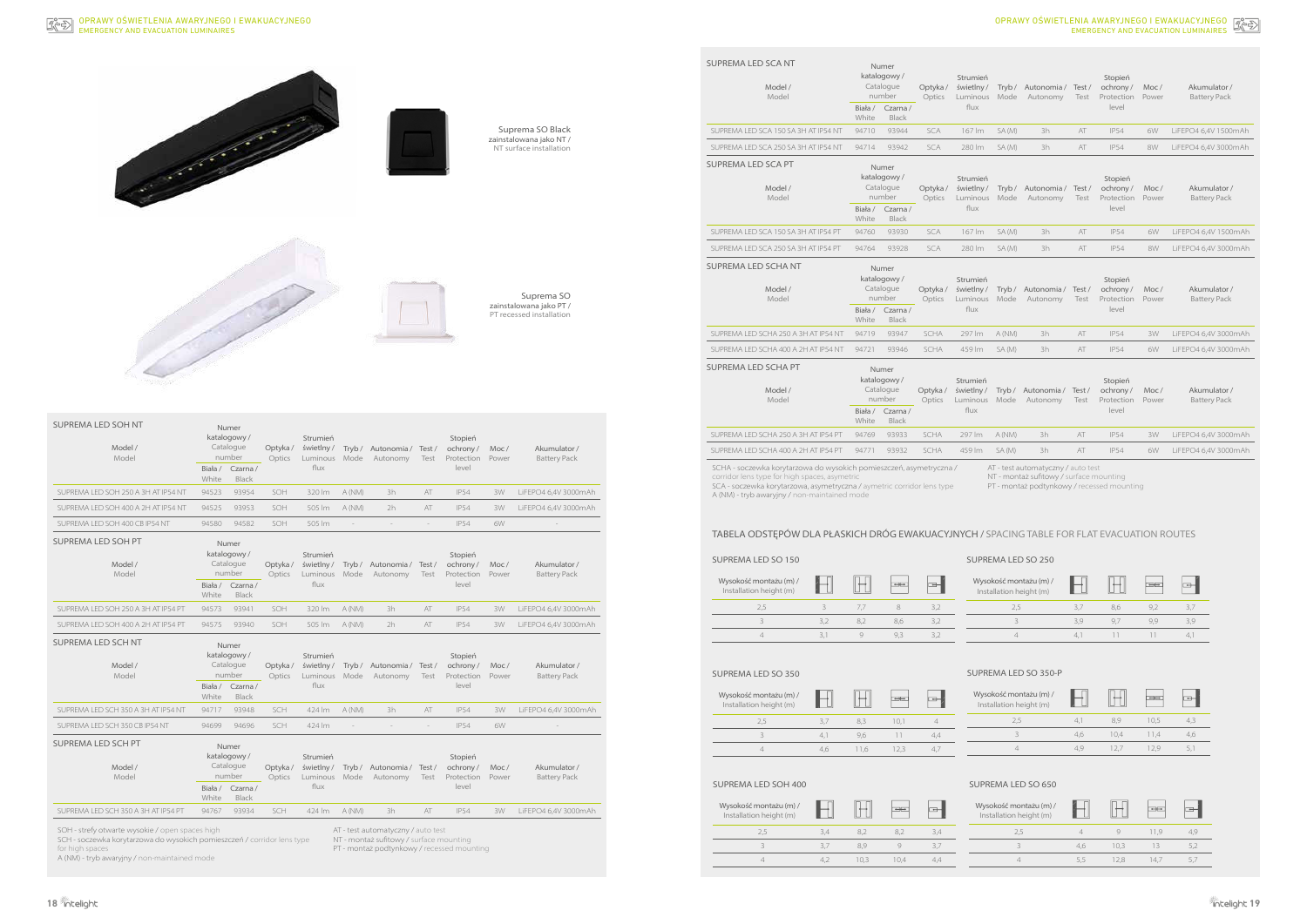**18 19**



SCH - soczewka korytarzowa do wysokich pomieszczeń / corridor lens type for high  $s$ 

A (NM) - tryb awaryjny / non-maintained mode

NT - montaż sufitowy / surface mounting

PT - montaż podtynkowy / recessed mounting

| <b>SUPREMA LED SOH NT</b><br>Model /<br>Model   | Numer<br>katalogowy/<br>Catalogue<br>number                        |                                             | Optyka/<br>Optics | Strumień<br>świetlny/<br>Luminous         | Tryb/<br>Mode            | Autonomia /<br>Autonomy            | Test/<br>Test | Stopień<br>ochrony/<br>Protection          | Moc/<br>Power | Akumulator /<br><b>Battery Pack</b> |
|-------------------------------------------------|--------------------------------------------------------------------|---------------------------------------------|-------------------|-------------------------------------------|--------------------------|------------------------------------|---------------|--------------------------------------------|---------------|-------------------------------------|
|                                                 | Biała /<br>White                                                   | Czarna /<br><b>Black</b>                    |                   | flux                                      |                          |                                    |               | level                                      |               |                                     |
| SUPREMA LED SOH 250 A 3H AT IP54 NT             | 94523                                                              | 93954                                       | SOH               | 320 lm                                    | A (NM)                   | 3h                                 | AT            | <b>IP54</b>                                | 3W            | LiFEPO4 6,4V 3000mAh                |
| SUPREMA LED SOH 400 A 2H AT IP54 NT             | 94525                                                              | 93953                                       | SOH               | 505 lm                                    | A (NM)                   | 2h                                 | AT            | <b>IP54</b>                                | 3W            | LiFEPO4 6,4V 3000mAh                |
| SUPREMA LED SOH 400 CB IP54 NT                  | 94580                                                              | 94582                                       | SOH               | 505 lm                                    | $\overline{\phantom{a}}$ | $\overline{\phantom{a}}$           | $\sim$        | <b>IP54</b>                                | 6W            |                                     |
| SUPREMA LED SOH PT<br>Model /<br>Model          | Numer<br>katalogowy/<br>Catalogue<br>number<br>Czarna /<br>Biała / |                                             | Optyka/<br>Optics | Strumień<br>świetlny/<br>Luminous<br>flux | Tryb/<br>Mode            | Autonomia /<br>Autonomy            | Test/<br>Test | Stopień<br>ochrony/<br>Protection<br>level | Moc/<br>Power | Akumulator /<br><b>Battery Pack</b> |
|                                                 | White                                                              | <b>Black</b>                                |                   |                                           |                          |                                    |               |                                            |               |                                     |
| SUPREMA LED SOH 250 A 3H AT IP54 PT             | 94573                                                              | 93941                                       | SOH               | 320 lm                                    | A (NM)                   | 3h                                 | AT            | <b>IP54</b>                                | 3W            | LiFEPO4 6,4V 3000mAh                |
| SUPREMA LED SOH 400 A 2H AT IP54 PT             | 94575                                                              | 93940                                       | SOH               | 505 lm                                    | A (NM)                   | 2h                                 | AT            | <b>IP54</b>                                | 3W            | LiFEPO4 6,4V 3000mAh                |
| SUPREMA LED SCH NT<br>Model /<br>Model          | Numer<br>katalogowy/<br>Catalogue<br>number                        |                                             | Optyka/<br>Optics | Strumień<br>świetlny/<br>Luminous         | Tryb/<br>Mode            | Autonomia /<br>Autonomy            | Test/<br>Test | Stopień<br>ochrony/<br>Protection          | Moc/<br>Power | Akumulator /<br><b>Battery Pack</b> |
|                                                 | Biała /<br>White                                                   | Czarna/<br>Black                            |                   | flux                                      |                          |                                    |               | level                                      |               |                                     |
| SUPREMA LED SCH 350 A 3H AT IP54 NT             | 94717                                                              | 93948                                       | SCH               | 424 lm                                    | A (NM)                   | 3h                                 | AT            | <b>IP54</b>                                | 3W            | LiFEPO4 6,4V 3000mAh                |
| SUPREMA LED SCH 350 CB IP54 NT                  | 94699                                                              | 94696                                       | SCH               | 424 lm                                    |                          |                                    |               | <b>IP54</b>                                | 6W            |                                     |
| SUPREMA LED SCH PT<br>Model /<br>Model          |                                                                    | Numer<br>katalogowy/<br>Catalogue<br>number | Optyka/<br>Optics | Strumień<br>świetlny/<br>Luminous         | Tryb/<br>Mode            | Autonomia /<br>Autonomy            | Test/<br>Test | Stopień<br>ochrony/<br>Protection          | Moc/<br>Power | Akumulator /<br><b>Battery Pack</b> |
|                                                 | Biała /<br>White                                                   | Czarna /<br><b>Black</b>                    |                   | flux                                      |                          |                                    |               | level                                      |               |                                     |
| SUPREMA LED SCH 350 A 3H AT IP54 PT             | 94767                                                              | 93934                                       | SCH               | 424 lm                                    | A (NM)                   | 3h                                 | AT            | <b>IP54</b>                                | 3W            | LiFEPO4 6,4V 3000mAh                |
| SOH - strefy otwarte wysokie / open spaces high |                                                                    |                                             |                   |                                           |                          | AT - test automatyczny / auto test |               |                                            |               |                                     |

SUPREMA LED SCHA NT SUPREMA LED SCHA PT Biała / Czarna / White Black SUPREMA LED SCA 150 SA 3H AT IP54 PT 94760 93930 SCA 167 lm SUPREMA LED SCA 250 SA 3H AT IP54 PT 94764 93928 SCA 280 lm Model / Model Numer katalogowy / Catalogue number Optyka / świetlny / Optics Luminous Biała / Czarna / White Black SUPREMA LED SCHA 250 A 3H AT IP54 NT 94719 93947 SCHA 297 lm SUPREMA LED SCHA 400 A 2H AT IP54 NT 94721 93946 SCHA 459 lm Model / Model Numer katalogowy / Catalogue number Optyka / świetlny / Optics Luminous Biała / Czarna / White Black SUPREMA LED SCHA 250 A 3H AT IP54 PT 94769 93933 SCHA 297 lm

SCHA - soczewka korytarzowa do wysokich pomieszczeń, asymetryczna / corridor lens type for high spaces, asymet

# TABELA ODSTĘPÓW DLA PŁASKICH DRÓG EWAKUACYJNYCH / SPACING TABLE FOR FLAT EVACUATION ROUTES

| SUPREMA LED SO 150                                |     |         |               |     | SUPREMA LED SO 250                                |     |     |     |     |
|---------------------------------------------------|-----|---------|---------------|-----|---------------------------------------------------|-----|-----|-----|-----|
| Wysokość montażu (m) /<br>Installation height (m) |     |         | $\Rightarrow$ |     | Wysokość montażu (m) /<br>Installation height (m) |     |     |     |     |
| 2,5                                               |     | 7.7     | 8             | 3.2 | 2.5                                               | 3.7 | 8,6 | 9,2 | 3,7 |
|                                                   | 3.2 | 8.2     | 8,6           | 3.2 |                                                   | 3.9 | 9,7 | 9.9 | 3,9 |
|                                                   | 3,1 | $\circ$ | 9.3           | 3.2 | $\Delta$                                          | 4.1 |     |     | 4.  |
|                                                   |     |         |               |     |                                                   |     |     |     |     |

| UPREMA LED SO 350 |  |
|-------------------|--|
|                   |  |

Wys I<sub>ns</sub>

| Wysokość montażu (m) /<br>Installation height (m) |        |      |  |
|---------------------------------------------------|--------|------|--|
| 2.5                                               |        | 1()1 |  |
|                                                   | 9.6    |      |  |
|                                                   | $\sim$ | 1つ 3 |  |

 $\frac{1}{2}$ 

# SUPREMA LED SOH 400 SUPREMA LED SO 650

| okość montażu (m) /<br>tallation height (m) |     |      |      |               |
|---------------------------------------------|-----|------|------|---------------|
| 2.5                                         | 4,1 | 8.9  | 10.5 | 4.3           |
|                                             | 4.6 | 10.4 | 114  | 4.6           |
|                                             | 4 C | 127  |      | $\mathcal{L}$ |

| Wysokość montażu (m) /<br>Installation height (m) | e de la concellativa de la concellativa de la concellativa de la concellativa de la concellativa de la concell<br>Concellativa de la concellativa de la concellativa de la concellativa de la concellativa de la concellativa de |     |    |  |
|---------------------------------------------------|----------------------------------------------------------------------------------------------------------------------------------------------------------------------------------------------------------------------------------|-----|----|--|
| 2.5                                               | 34                                                                                                                                                                                                                               |     | 82 |  |
|                                                   | -37                                                                                                                                                                                                                              |     |    |  |
|                                                   |                                                                                                                                                                                                                                  | 103 |    |  |

| Wysokość montażu (m) /<br>Installation height (m) |    |      |      |  |
|---------------------------------------------------|----|------|------|--|
| 2.5                                               |    |      | 11 G |  |
|                                                   |    | 10.3 | 13   |  |
|                                                   | 55 | 128  |      |  |

### EMERGENCY AND EVACUATION LUMINAIRES OPRAWY OŚWIETLENIA AWARYJNEGO I EWAKUACYJNEGO

SUPREMA LED SCA NT

SUPREMA LED SCA PT

SUPREMA LED SCHA 400 A 2H AT IP54 PT 94771 93932 SCHA 459 lm

SCA - soczewka korytarzowa, asymetryczna / aymetric corridor lens type

A (NM) - tryb awaryjny / non-maintained mode

AT - test automatyczny / auto test

NT - montaż sufitowy / surface mounting

PT - montaż podtynkowy / recessed mounting

### SUPREMA LED SO 350-P

Model / Model

Numer katalogowy / Catalogue number

Biała / Czarna / White Black

Model / Model

Numer katalogowy /

SUPREMA LED SCA 150 SA 3H AT IP54 NT 94710 93944 SCA 167 lm SUPREMA LED SCA 250 SA 3H AT IP54 NT 94714 93942 SCA 280 lm

| Numer<br>atalogowy/<br>Catalogue<br>number |                                                                        | Optyka/<br>Optics | Strumień<br>świetlny/<br>Luminous         | Tryb/<br>Mode | Autonomia /<br>Autonomy | Test/<br>Test | Stopień<br>ochrony/<br>Protection          | Moc/<br>Power | Akumulator /<br><b>Battery Pack</b> |
|--------------------------------------------|------------------------------------------------------------------------|-------------------|-------------------------------------------|---------------|-------------------------|---------------|--------------------------------------------|---------------|-------------------------------------|
| $\frac{1}{a}$<br>ite                       | Czarna /<br><b>Black</b>                                               |                   | flux                                      |               |                         |               | level                                      |               |                                     |
| 710                                        | 93944                                                                  | <b>SCA</b>        | 167 lm                                    | SA (M)        | 3h                      | AT            | <b>IP54</b>                                | 6W            | LiFEPO4 6,4V 1500mAh                |
| 714                                        | 93942                                                                  | <b>SCA</b>        | 280 lm                                    | SA (M)        | 3h                      | AT            | <b>IP54</b>                                | 8W            | LiFEPO4 6,4V 3000mAh                |
| $\frac{1}{a}$<br>ıite                      | Numer<br>atalogowy/<br>Catalogue<br>number<br>Czarna /<br>Black        | Optyka/<br>Optics | Strumień<br>świetlny/<br>Luminous<br>flux | Tryb/<br>Mode | Autonomia /<br>Autonomy | Test/<br>Test | Stopień<br>ochrony/<br>Protection<br>level | Moc/<br>Power | Akumulator /<br><b>Battery Pack</b> |
| 760                                        | 93930                                                                  | SCA               | 167 lm                                    | SA (M)        | 3h                      | AT            | <b>IP54</b>                                | 6W            | LiFEPO4 6,4V 1500mAh                |
| 764                                        | 93928                                                                  | <b>SCA</b>        | 280 lm                                    | SA (M)        | 3h                      | AT            | <b>IP54</b>                                | 8W            | LiFEPO4 6,4V 3000mAh                |
| $\frac{1}{a}$<br>ite                       | Numer<br>atalogowy/<br>Catalogue<br>number<br>Czarna /<br><b>Black</b> | Optyka/<br>Optics | Strumień<br>świetlny/<br>Luminous<br>flux | Tryb/<br>Mode | Autonomia /<br>Autonomy | Test/<br>Test | Stopień<br>ochrony/<br>Protection<br>level | Moc/<br>Power | Akumulator /<br><b>Battery Pack</b> |
| 719                                        | 93947                                                                  | SCHA              | 297 lm                                    | A (NM)        | 3h                      | AT            | <b>IP54</b>                                | 3W            | LiFEPO4 6,4V 3000mAh                |
| 721                                        | 93946                                                                  | SCHA              | 459 lm                                    | SA (M)        | 3h                      | AT            | <b>IP54</b>                                | 6W            | LiFEPO4 6,4V 3000mAh                |
| ła /<br>ıite                               | Numer<br>atalogowy/<br>Catalogue<br>number<br>Czarna /<br>Black        | Optyka/<br>Optics | Strumień<br>świetlny/<br>Luminous<br>flux | Tryb/<br>Mode | Autonomia /<br>Autonomy | Test/<br>Test | Stopień<br>ochrony/<br>Protection<br>level | Moc/<br>Power | Akumulator /<br><b>Battery Pack</b> |
| 769                                        | 93933                                                                  | <b>SCHA</b>       | 297 lm                                    | A (NM)        | 3h                      | AT            | <b>IP54</b>                                | 3W            | LiFEPO4 6,4V 3000mAh                |
| 771                                        | 93932                                                                  | <b>SCHA</b>       | 459 lm                                    | SA (M)        | 3h                      | AT            | <b>IP54</b>                                | 6W            | LiFEPO4 6,4V 3000mAh                |